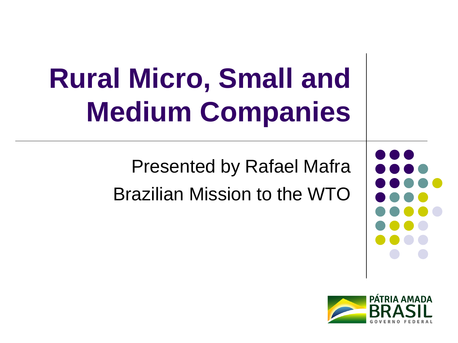# **Rural Micro, Small and Medium Companies**

Presented by Rafael Mafra Brazilian Mission to the WTO



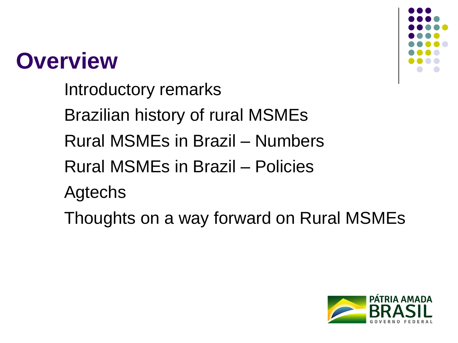#### **Overview**

Introductory remarks Brazilian history of rural MSMEs Rural MSMEs in Brazil – Numbers Rural MSMEs in Brazil – Policies Agtechs





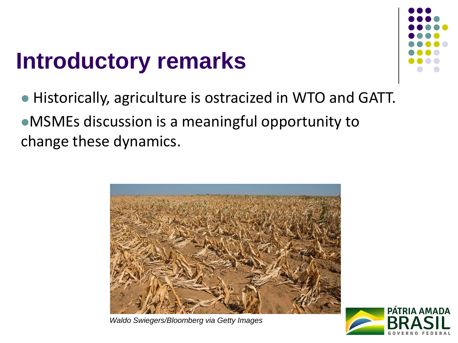#### **Introductory remarks**



⚫ Historically, agriculture is ostracized in WTO and GATT. ⚫MSMEs discussion is a meaningful opportunity to change these dynamics.



*Waldo Swiegers/Bloomberg via Getty Images*

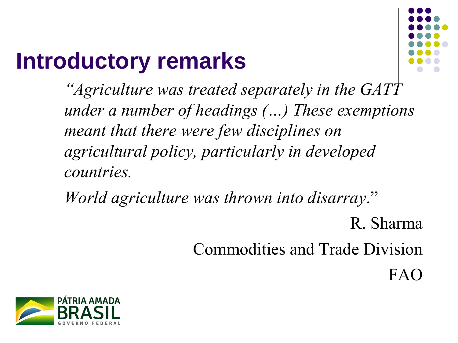#### **Introductory remarks**



*"Agriculture was treated separately in the GATT under a number of headings (…) These exemptions meant that there were few disciplines on agricultural policy, particularly in developed countries.* 

*World agriculture was thrown into disarray*."

R. Sharma Commodities and Trade Division FAO

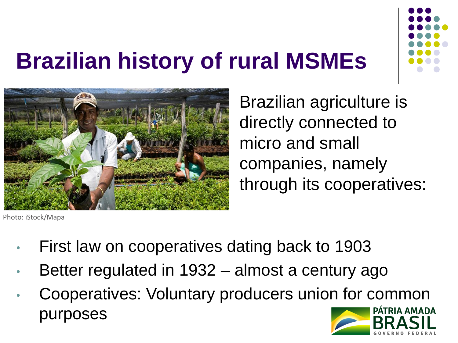

#### **Brazilian history of rural MSMEs**



Brazilian agriculture is directly connected to micro and small companies, namely through its cooperatives:

Photo: iStock/Mapa

- First law on cooperatives dating back to 1903
- Better regulated in 1932 almost a century ago
- Cooperatives: Voluntary producers union for common PÁTRIA AMADA purposes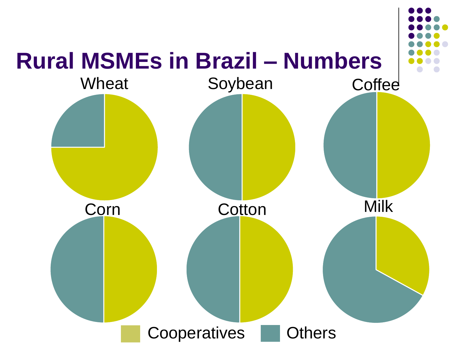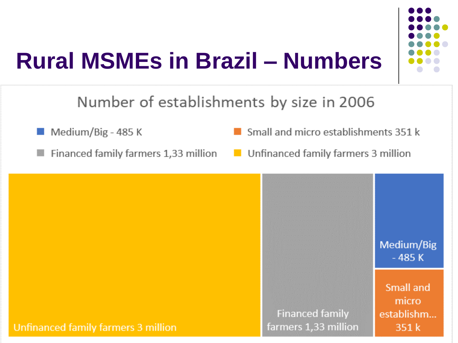

# **Rural MSMEs in Brazil - Numbers**

Number of establishments by size in 2006

 $\blacksquare$  Medium/Big - 485 K

Financed family farmers 1,33 million

Small and micro establishments 351 k

Unfinanced family farmers 3 million

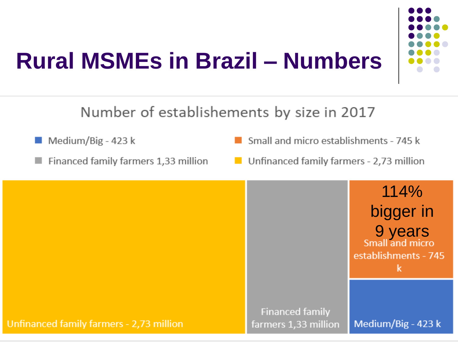#### **Rural MSMEs in Brazil - Numbers**



#### Number of establishements by size in 2017

- Medium/Big 423 k
- Financed family farmers 1,33 million
- Small and micro establishments 745 k
- Unfinanced family farmers 2,73 million

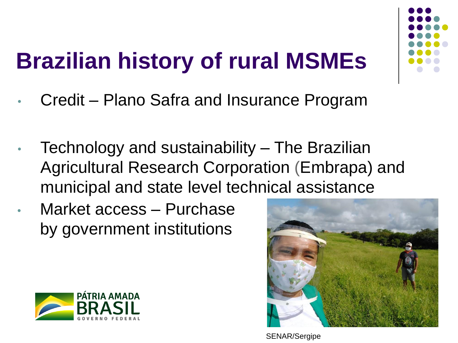### **Brazilian history of rural MSMEs**

- Credit Plano Safra and Insurance Program
- Technology and sustainability The Brazilian Agricultural Research Corporation (Embrapa) and municipal and state level technical assistance
- Market access Purchase by government institutions





SENAR/Sergipe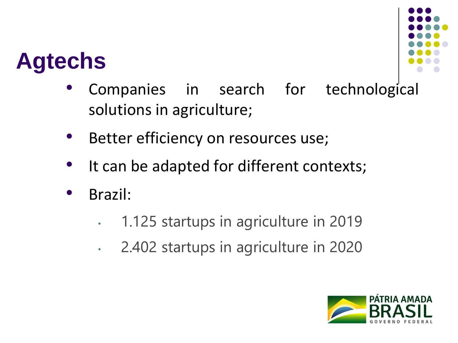#### **Agtechs**



- Companies in search for technological solutions in agriculture;
- Better efficiency on resources use;
- It can be adapted for different contexts;
- Brazil:
	- 1.125 startups in agriculture in 2019
	- 2.402 startups in agriculture in 2020

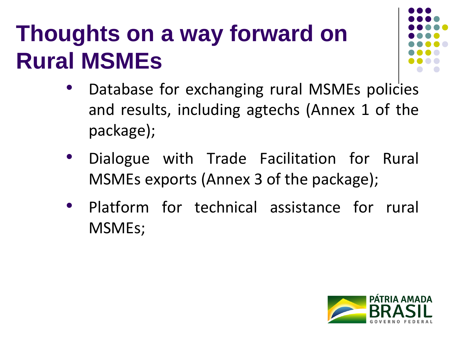#### **Thoughts on a way forward on Rural MSMEs**



- Database for exchanging rural MSMEs policies and results, including agtechs (Annex 1 of the package);
- Dialogue with Trade Facilitation for Rural MSMEs exports (Annex 3 of the package);
- Platform for technical assistance for rural MSMEs;

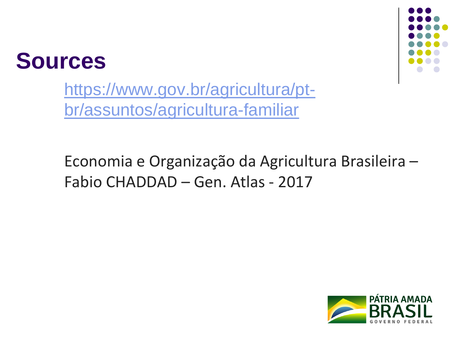



https://www.gov.br/agricultura/pt[br/assuntos/agricultura-familiar](https://www.gov.br/agricultura/pt-br/assuntos/agricultura-familiar)

Economia e Organização da Agricultura Brasileira – Fabio CHADDAD – Gen. Atlas - 2017